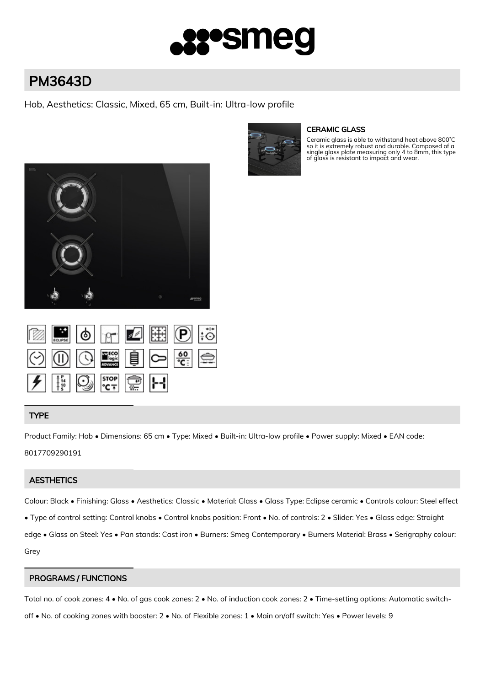# **•smeg**

# PM3643D

Hob, Aesthetics: Classic, Mixed, 65 cm, Built-in: Ultra-low profile



## CERAMIC GLASS

Ceramic glass is able to withstand heat above 800˚C so it is extremely robust and durable. Composed of a single glass plate measuring only 4 to 8mm, this type of glass is resistant to impact and wear.



|  |                                                                                                                                                    | B OF B DI      |  |
|--|----------------------------------------------------------------------------------------------------------------------------------------------------|----------------|--|
|  |                                                                                                                                                    | $\circledcirc$ |  |
|  | $\frac{1}{\sqrt{2}}$ $\frac{1}{\sqrt{2}}$ $\frac{1}{\sqrt{2}}$ $\frac{1}{\sqrt{2}}$ $\frac{1}{\sqrt{2}}$ $\frac{1}{\sqrt{2}}$ $\frac{1}{\sqrt{2}}$ |                |  |

# TYPE

Product Family: Hob • Dimensions: 65 cm • Type: Mixed • Built-in: Ultra-low profile • Power supply: Mixed • EAN code: 8017709290191

## **AESTHETICS**

Colour: Black • Finishing: Glass • Aesthetics: Classic • Material: Glass • Glass Type: Eclipse ceramic • Controls colour: Steel effect • Type of control setting: Control knobs • Control knobs position: Front • No. of controls: 2 • Slider: Yes • Glass edge: Straight edge • Glass on Steel: Yes • Pan stands: Cast iron • Burners: Smeg Contemporary • Burners Material: Brass • Serigraphy colour: Grey

# PROGRAMS / FUNCTIONS

Total no. of cook zones: 4 • No. of gas cook zones: 2 • No. of induction cook zones: 2 • Time-setting options: Automatic switch-

off • No. of cooking zones with booster: 2 • No. of Flexible zones: 1 • Main on/off switch: Yes • Power levels: 9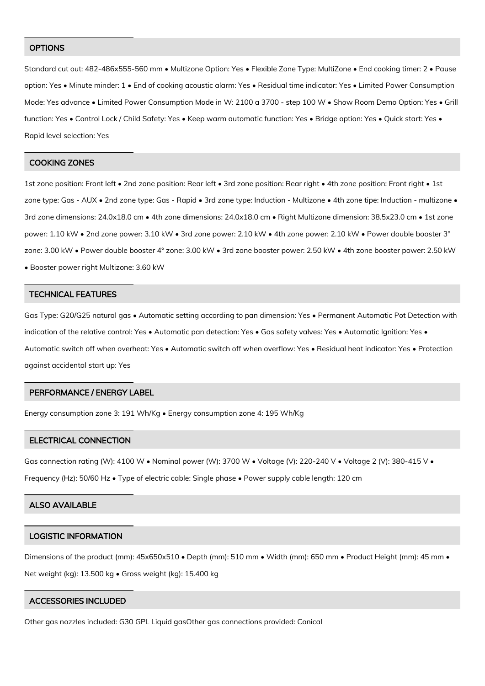#### **OPTIONS**

Standard cut out: 482-486x555-560 mm • Multizone Option: Yes • Flexible Zone Type: MultiZone • End cooking timer: 2 • Pause option: Yes • Minute minder: 1 • End of cooking acoustic alarm: Yes • Residual time indicator: Yes • Limited Power Consumption Mode: Yes advance • Limited Power Consumption Mode in W: 2100 a 3700 - step 100 W • Show Room Demo Option: Yes • Grill function: Yes • Control Lock / Child Safety: Yes • Keep warm automatic function: Yes • Bridge option: Yes • Quick start: Yes • Rapid level selection: Yes

#### COOKING ZONES

1st zone position: Front left • 2nd zone position: Rear left • 3rd zone position: Rear right • 4th zone position: Front right • 1st zone type: Gas - AUX • 2nd zone type: Gas - Rapid • 3rd zone type: Induction - Multizone • 4th zone tipe: Induction - multizone • 3rd zone dimensions: 24.0x18.0 cm • 4th zone dimensions: 24.0x18.0 cm • Right Multizone dimension: 38.5x23.0 cm • 1st zone power: 1.10 kW • 2nd zone power: 3.10 kW • 3rd zone power: 2.10 kW • 4th zone power: 2.10 kW • Power double booster 3° zone: 3.00 kW • Power double booster 4° zone: 3.00 kW • 3rd zone booster power: 2.50 kW • 4th zone booster power: 2.50 kW • Booster power right Multizone: 3.60 kW

#### TECHNICAL FEATURES

Gas Type: G20/G25 natural gas • Automatic setting according to pan dimension: Yes • Permanent Automatic Pot Detection with indication of the relative control: Yes • Automatic pan detection: Yes • Gas safety valves: Yes • Automatic Ignition: Yes • Automatic switch off when overheat: Yes • Automatic switch off when overflow: Yes • Residual heat indicator: Yes • Protection against accidental start up: Yes

#### PERFORMANCE / ENERGY LABEL

Energy consumption zone 3: 191 Wh/Kg • Energy consumption zone 4: 195 Wh/Kg

#### ELECTRICAL CONNECTION

Gas connection rating (W): 4100 W • Nominal power (W): 3700 W • Voltage (V): 220-240 V • Voltage 2 (V): 380-415 V •

Frequency (Hz): 50/60 Hz • Type of electric cable: Single phase • Power supply cable length: 120 cm

#### ALSO AVAILABLE

#### LOGISTIC INFORMATION

Dimensions of the product (mm): 45x650x510 • Depth (mm): 510 mm • Width (mm): 650 mm • Product Height (mm): 45 mm • Net weight (kg): 13.500 kg • Gross weight (kg): 15.400 kg

#### ACCESSORIES INCLUDED

Other gas nozzles included: G30 GPL Liquid gasOther gas connections provided: Conical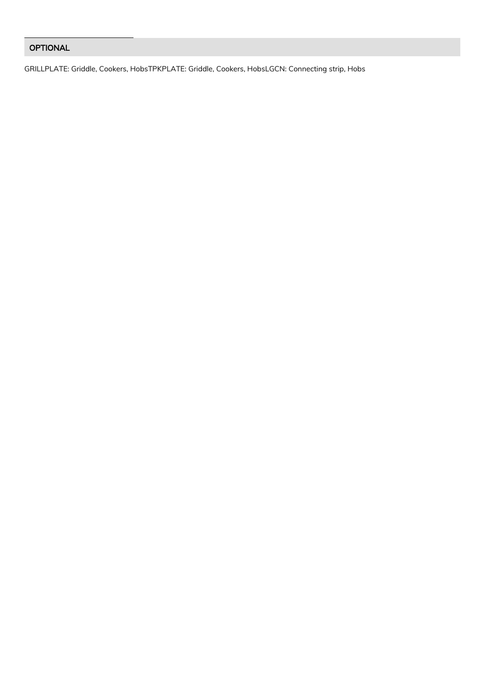# OPTIONAL

GRILLPLATE: Griddle, Cookers, HobsTPKPLATE: Griddle, Cookers, HobsLGCN: Connecting strip, Hobs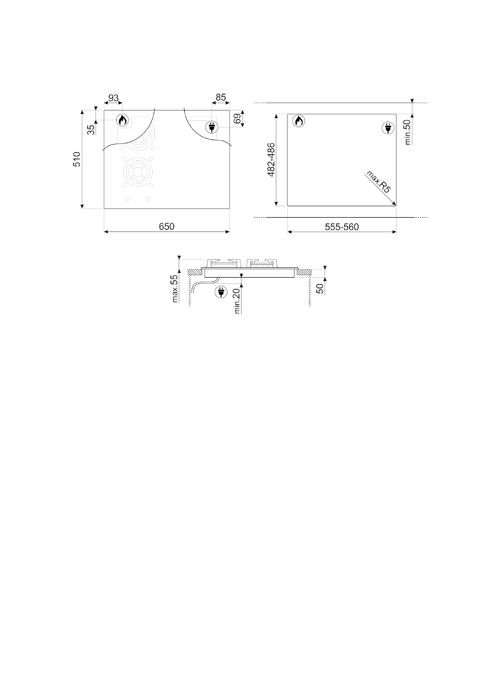